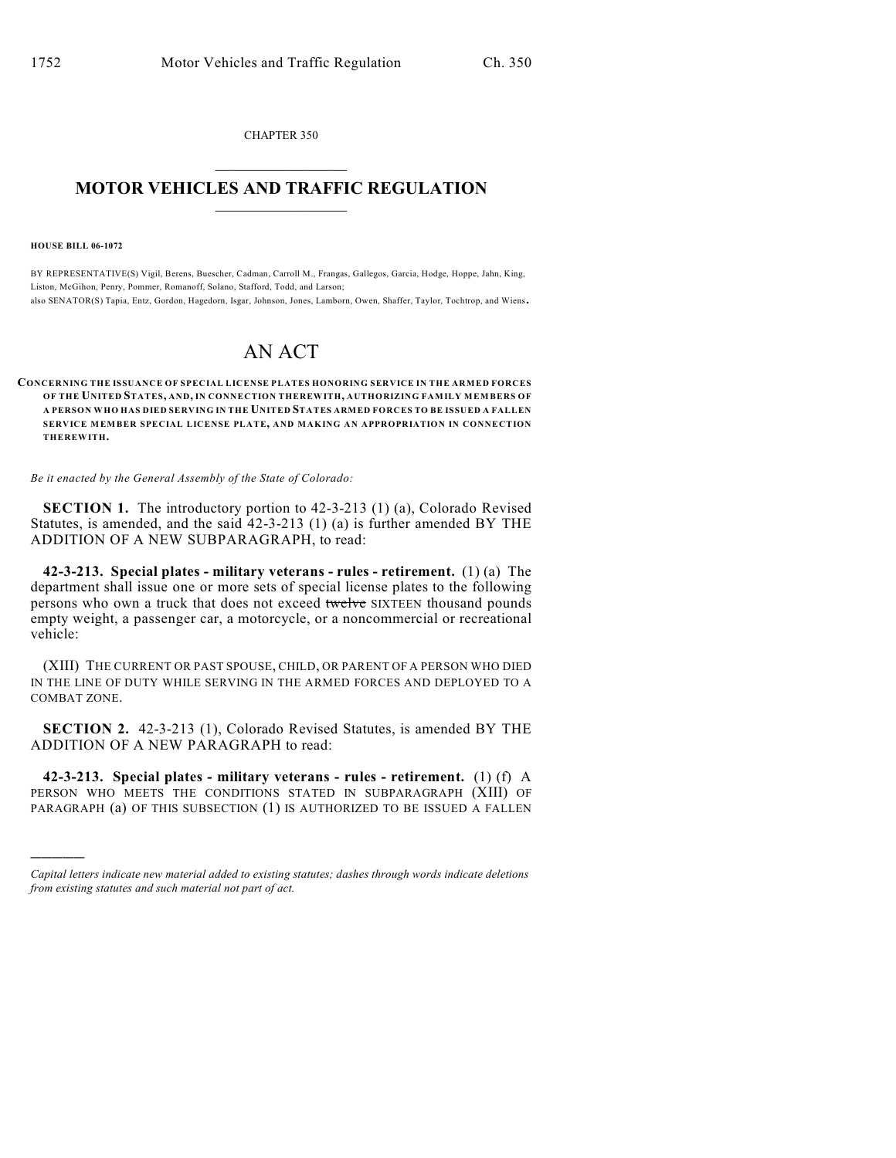CHAPTER 350  $\mathcal{L}_\text{max}$  . The set of the set of the set of the set of the set of the set of the set of the set of the set of the set of the set of the set of the set of the set of the set of the set of the set of the set of the set

## **MOTOR VEHICLES AND TRAFFIC REGULATION**  $\frac{1}{2}$  ,  $\frac{1}{2}$  ,  $\frac{1}{2}$  ,  $\frac{1}{2}$  ,  $\frac{1}{2}$  ,  $\frac{1}{2}$  ,  $\frac{1}{2}$

**HOUSE BILL 06-1072**

)))))

BY REPRESENTATIVE(S) Vigil, Berens, Buescher, Cadman, Carroll M., Frangas, Gallegos, Garcia, Hodge, Hoppe, Jahn, King, Liston, McGihon, Penry, Pommer, Romanoff, Solano, Stafford, Todd, and Larson;

also SENATOR(S) Tapia, Entz, Gordon, Hagedorn, Isgar, Johnson, Jones, Lamborn, Owen, Shaffer, Taylor, Tochtrop, and Wiens.

## AN ACT

## **CONCERNING THE ISSUANCE OF SPECIAL LICENSE PLATES HONORING SERVICE IN THE ARMED FORCES OF THE UNITED STATES, AND, IN CONNECTION THEREWITH, AUTHORIZING FAMILY MEMBERS OF A PERSON WHO HAS DIED SERVING IN THE UNITED STATES ARMED FORCES TO BE ISSUED A FALLEN SERVICE MEMBER SPECIAL LICENSE PLATE, AND MAKING AN APPROPRIATION IN CONNECTION THEREWITH.**

*Be it enacted by the General Assembly of the State of Colorado:*

**SECTION 1.** The introductory portion to 42-3-213 (1) (a), Colorado Revised Statutes, is amended, and the said 42-3-213 (1) (a) is further amended BY THE ADDITION OF A NEW SUBPARAGRAPH, to read:

**42-3-213. Special plates - military veterans - rules - retirement.** (1) (a) The department shall issue one or more sets of special license plates to the following persons who own a truck that does not exceed twelve SIXTEEN thousand pounds empty weight, a passenger car, a motorcycle, or a noncommercial or recreational vehicle:

(XIII) THE CURRENT OR PAST SPOUSE, CHILD, OR PARENT OF A PERSON WHO DIED IN THE LINE OF DUTY WHILE SERVING IN THE ARMED FORCES AND DEPLOYED TO A COMBAT ZONE.

**SECTION 2.** 42-3-213 (1), Colorado Revised Statutes, is amended BY THE ADDITION OF A NEW PARAGRAPH to read:

**42-3-213. Special plates - military veterans - rules - retirement.** (1) (f) A PERSON WHO MEETS THE CONDITIONS STATED IN SUBPARAGRAPH (XIII) OF PARAGRAPH (a) OF THIS SUBSECTION (1) IS AUTHORIZED TO BE ISSUED A FALLEN

*Capital letters indicate new material added to existing statutes; dashes through words indicate deletions from existing statutes and such material not part of act.*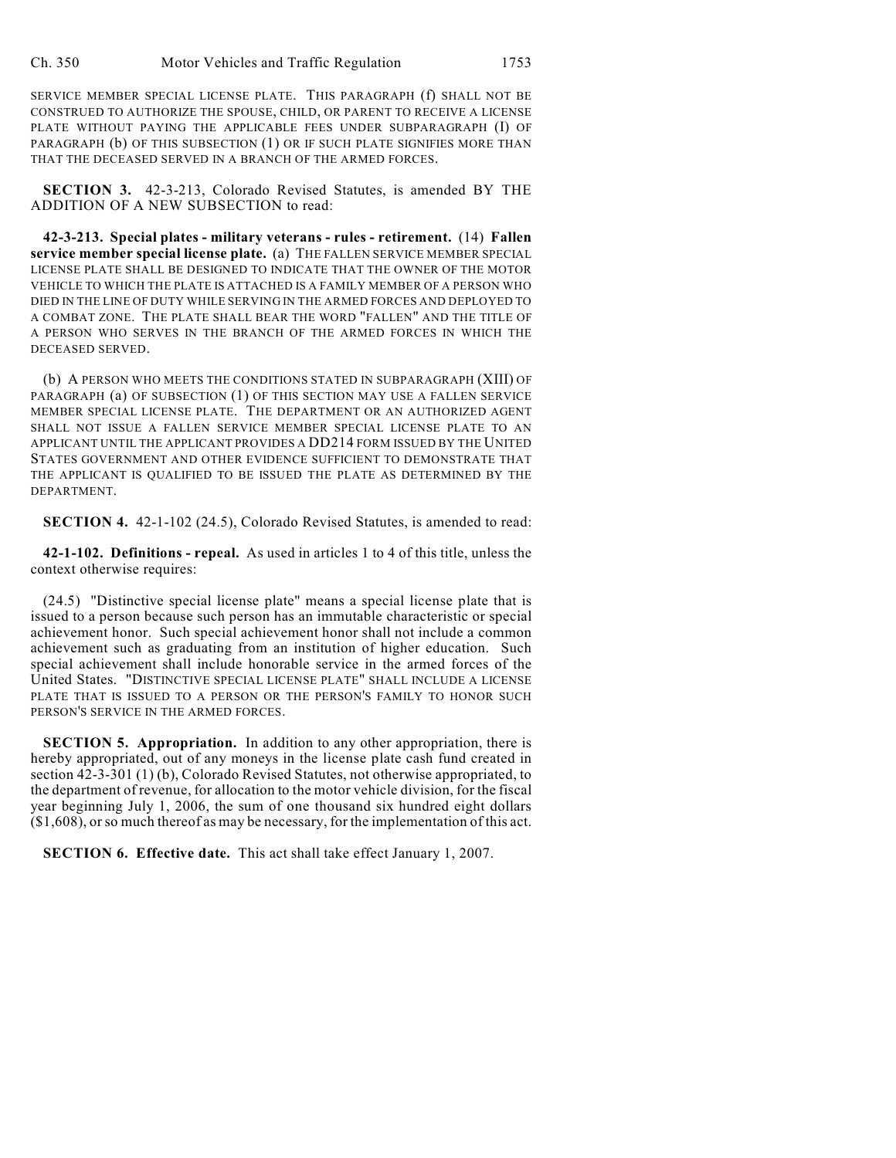SERVICE MEMBER SPECIAL LICENSE PLATE. THIS PARAGRAPH (f) SHALL NOT BE CONSTRUED TO AUTHORIZE THE SPOUSE, CHILD, OR PARENT TO RECEIVE A LICENSE PLATE WITHOUT PAYING THE APPLICABLE FEES UNDER SUBPARAGRAPH (I) OF PARAGRAPH (b) OF THIS SUBSECTION (1) OR IF SUCH PLATE SIGNIFIES MORE THAN THAT THE DECEASED SERVED IN A BRANCH OF THE ARMED FORCES.

**SECTION 3.** 42-3-213, Colorado Revised Statutes, is amended BY THE ADDITION OF A NEW SUBSECTION to read:

**42-3-213. Special plates - military veterans - rules - retirement.** (14) **Fallen service member special license plate.** (a) THE FALLEN SERVICE MEMBER SPECIAL LICENSE PLATE SHALL BE DESIGNED TO INDICATE THAT THE OWNER OF THE MOTOR VEHICLE TO WHICH THE PLATE IS ATTACHED IS A FAMILY MEMBER OF A PERSON WHO DIED IN THE LINE OF DUTY WHILE SERVING IN THE ARMED FORCES AND DEPLOYED TO A COMBAT ZONE. THE PLATE SHALL BEAR THE WORD "FALLEN" AND THE TITLE OF A PERSON WHO SERVES IN THE BRANCH OF THE ARMED FORCES IN WHICH THE DECEASED SERVED.

(b) A PERSON WHO MEETS THE CONDITIONS STATED IN SUBPARAGRAPH (XIII) OF PARAGRAPH (a) OF SUBSECTION (1) OF THIS SECTION MAY USE A FALLEN SERVICE MEMBER SPECIAL LICENSE PLATE. THE DEPARTMENT OR AN AUTHORIZED AGENT SHALL NOT ISSUE A FALLEN SERVICE MEMBER SPECIAL LICENSE PLATE TO AN APPLICANT UNTIL THE APPLICANT PROVIDES A DD214 FORM ISSUED BY THE UNITED STATES GOVERNMENT AND OTHER EVIDENCE SUFFICIENT TO DEMONSTRATE THAT THE APPLICANT IS QUALIFIED TO BE ISSUED THE PLATE AS DETERMINED BY THE DEPARTMENT.

**SECTION 4.** 42-1-102 (24.5), Colorado Revised Statutes, is amended to read:

**42-1-102. Definitions - repeal.** As used in articles 1 to 4 of this title, unless the context otherwise requires:

(24.5) "Distinctive special license plate" means a special license plate that is issued to a person because such person has an immutable characteristic or special achievement honor. Such special achievement honor shall not include a common achievement such as graduating from an institution of higher education. Such special achievement shall include honorable service in the armed forces of the United States. "DISTINCTIVE SPECIAL LICENSE PLATE" SHALL INCLUDE A LICENSE PLATE THAT IS ISSUED TO A PERSON OR THE PERSON'S FAMILY TO HONOR SUCH PERSON'S SERVICE IN THE ARMED FORCES.

**SECTION 5. Appropriation.** In addition to any other appropriation, there is hereby appropriated, out of any moneys in the license plate cash fund created in section 42-3-301 (1) (b), Colorado Revised Statutes, not otherwise appropriated, to the department of revenue, for allocation to the motor vehicle division, for the fiscal year beginning July 1, 2006, the sum of one thousand six hundred eight dollars (\$1,608), or so much thereof as may be necessary, for the implementation of this act.

**SECTION 6. Effective date.** This act shall take effect January 1, 2007.